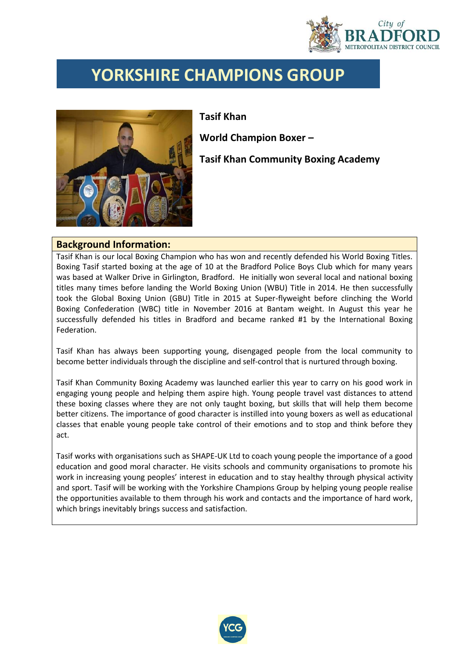

## **YORKSHIRE CHAMPIONS GROUP**



## **Tasif Khan**

**World Champion Boxer –**

**Tasif Khan Community Boxing Academy**

## **Background Information:**

Tasif Khan is our local Boxing Champion who has won and recently defended his World Boxing Titles. Boxing Tasif started boxing at the age of 10 at the Bradford Police Boys Club which for many years was based at Walker Drive in Girlington, Bradford. He initially won several local and national boxing titles many times before landing the World Boxing Union (WBU) Title in 2014. He then successfully took the Global Boxing Union (GBU) Title in 2015 at Super-flyweight before clinching the World Boxing Confederation (WBC) title in November 2016 at Bantam weight. In August this year he successfully defended his titles in Bradford and became ranked #1 by the International Boxing Federation.

Tasif Khan has always been supporting young, disengaged people from the local community to become better individuals through the discipline and self-control that is nurtured through boxing.

Tasif Khan Community Boxing Academy was launched earlier this year to carry on his good work in engaging young people and helping them aspire high. Young people travel vast distances to attend these boxing classes where they are not only taught boxing, but skills that will help them become better citizens. The importance of good character is instilled into young boxers as well as educational classes that enable young people take control of their emotions and to stop and think before they act.

Tasif works with organisations such as SHAPE-UK Ltd to coach young people the importance of a good education and good moral character. He visits schools and community organisations to promote his work in increasing young peoples' interest in education and to stay healthy through physical activity and sport. Tasif will be working with the Yorkshire Champions Group by helping young people realise the opportunities available to them through his work and contacts and the importance of hard work, which brings inevitably brings success and satisfaction.